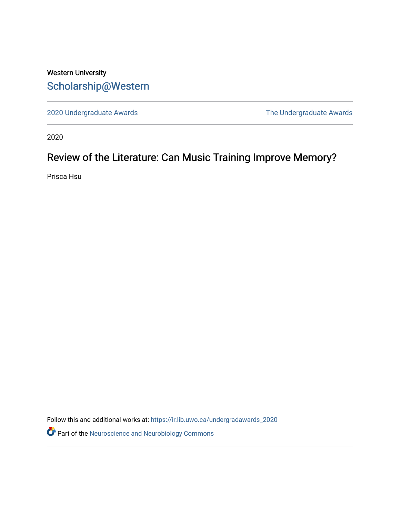# Western University [Scholarship@Western](https://ir.lib.uwo.ca/)

[2020 Undergraduate Awards](https://ir.lib.uwo.ca/undergradawards_2020) [The Undergraduate Awards](https://ir.lib.uwo.ca/ungradawards) 

2020

# Review of the Literature: Can Music Training Improve Memory?

Prisca Hsu

Follow this and additional works at: [https://ir.lib.uwo.ca/undergradawards\\_2020](https://ir.lib.uwo.ca/undergradawards_2020?utm_source=ir.lib.uwo.ca%2Fundergradawards_2020%2F1&utm_medium=PDF&utm_campaign=PDFCoverPages) 

Part of the [Neuroscience and Neurobiology Commons](http://network.bepress.com/hgg/discipline/55?utm_source=ir.lib.uwo.ca%2Fundergradawards_2020%2F1&utm_medium=PDF&utm_campaign=PDFCoverPages)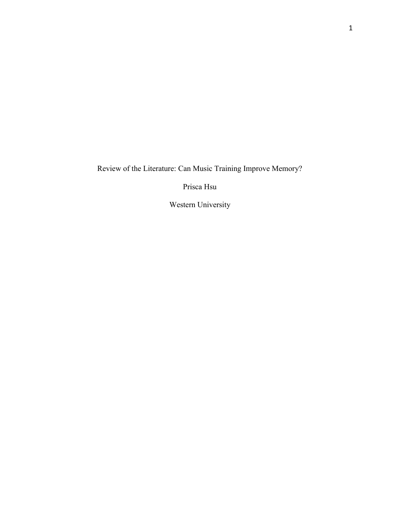Review of the Literature: Can Music Training Improve Memory?

Prisca Hsu

Western University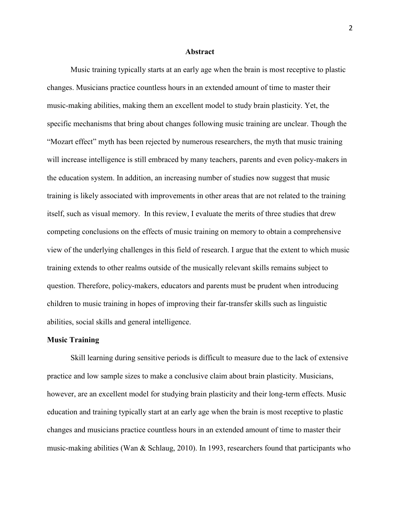#### **Abstract**

Music training typically starts at an early age when the brain is most receptive to plastic changes. Musicians practice countless hours in an extended amount of time to master their music-making abilities, making them an excellent model to study brain plasticity. Yet, the specific mechanisms that bring about changes following music training are unclear. Though the "Mozart effect" myth has been rejected by numerous researchers, the myth that music training will increase intelligence is still embraced by many teachers, parents and even policy-makers in the education system. In addition, an increasing number of studies now suggest that music training is likely associated with improvements in other areas that are not related to the training itself, such as visual memory. In this review, I evaluate the merits of three studies that drew competing conclusions on the effects of music training on memory to obtain a comprehensive view of the underlying challenges in this field of research. I argue that the extent to which music training extends to other realms outside of the musically relevant skills remains subject to question. Therefore, policy-makers, educators and parents must be prudent when introducing children to music training in hopes of improving their far-transfer skills such as linguistic abilities, social skills and general intelligence.

#### **Music Training**

Skill learning during sensitive periods is difficult to measure due to the lack of extensive practice and low sample sizes to make a conclusive claim about brain plasticity. Musicians, however, are an excellent model for studying brain plasticity and their long-term effects. Music education and training typically start at an early age when the brain is most receptive to plastic changes and musicians practice countless hours in an extended amount of time to master their music-making abilities (Wan & Schlaug, 2010). In 1993, researchers found that participants who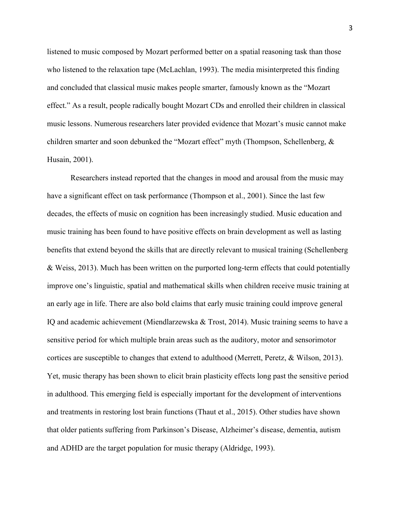listened to music composed by Mozart performed better on a spatial reasoning task than those who listened to the relaxation tape (McLachlan, 1993). The media misinterpreted this finding and concluded that classical music makes people smarter, famously known as the "Mozart effect." As a result, people radically bought Mozart CDs and enrolled their children in classical music lessons. Numerous researchers later provided evidence that Mozart's music cannot make children smarter and soon debunked the "Mozart effect" myth (Thompson, Schellenberg, & Husain, 2001).

Researchers instead reported that the changes in mood and arousal from the music may have a significant effect on task performance (Thompson et al., 2001). Since the last few decades, the effects of music on cognition has been increasingly studied. Music education and music training has been found to have positive effects on brain development as well as lasting benefits that extend beyond the skills that are directly relevant to musical training (Schellenberg & Weiss, 2013). Much has been written on the purported long-term effects that could potentially improve one's linguistic, spatial and mathematical skills when children receive music training at an early age in life. There are also bold claims that early music training could improve general IQ and academic achievement (Miendlarzewska & Trost, 2014). Music training seems to have a sensitive period for which multiple brain areas such as the auditory, motor and sensorimotor cortices are susceptible to changes that extend to adulthood (Merrett, Peretz, & Wilson, 2013). Yet, music therapy has been shown to elicit brain plasticity effects long past the sensitive period in adulthood. This emerging field is especially important for the development of interventions and treatments in restoring lost brain functions (Thaut et al., 2015). Other studies have shown that older patients suffering from Parkinson's Disease, Alzheimer's disease, dementia, autism and ADHD are the target population for music therapy (Aldridge, 1993).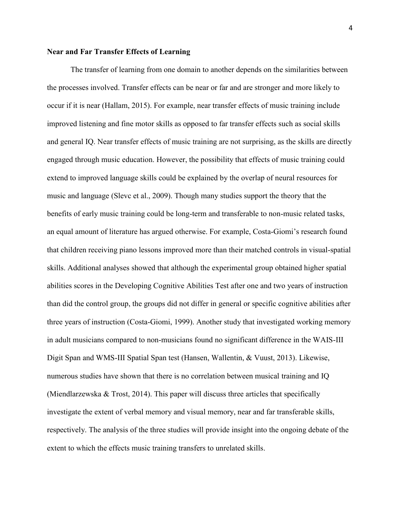# **Near and Far Transfer Effects of Learning**

The transfer of learning from one domain to another depends on the similarities between the processes involved. Transfer effects can be near or far and are stronger and more likely to occur if it is near (Hallam, 2015). For example, near transfer effects of music training include improved listening and fine motor skills as opposed to far transfer effects such as social skills and general IQ. Near transfer effects of music training are not surprising, as the skills are directly engaged through music education. However, the possibility that effects of music training could extend to improved language skills could be explained by the overlap of neural resources for music and language (Slevc et al., 2009). Though many studies support the theory that the benefits of early music training could be long-term and transferable to non-music related tasks, an equal amount of literature has argued otherwise. For example, Costa-Giomi's research found that children receiving piano lessons improved more than their matched controls in visual-spatial skills. Additional analyses showed that although the experimental group obtained higher spatial abilities scores in the Developing Cognitive Abilities Test after one and two years of instruction than did the control group, the groups did not differ in general or specific cognitive abilities after three years of instruction (Costa-Giomi, 1999). Another study that investigated working memory in adult musicians compared to non-musicians found no significant difference in the WAIS-III Digit Span and WMS-III Spatial Span test (Hansen, Wallentin, & Vuust, 2013). Likewise, numerous studies have shown that there is no correlation between musical training and IQ (Miendlarzewska & Trost, 2014). This paper will discuss three articles that specifically investigate the extent of verbal memory and visual memory, near and far transferable skills, respectively. The analysis of the three studies will provide insight into the ongoing debate of the extent to which the effects music training transfers to unrelated skills.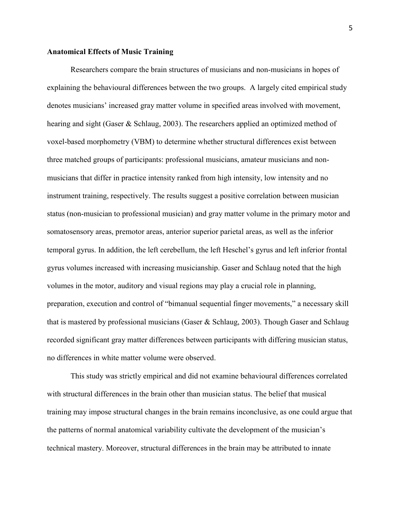# **Anatomical Effects of Music Training**

Researchers compare the brain structures of musicians and non-musicians in hopes of explaining the behavioural differences between the two groups. A largely cited empirical study denotes musicians' increased gray matter volume in specified areas involved with movement, hearing and sight (Gaser & Schlaug, 2003). The researchers applied an optimized method of voxel-based morphometry (VBM) to determine whether structural differences exist between three matched groups of participants: professional musicians, amateur musicians and nonmusicians that differ in practice intensity ranked from high intensity, low intensity and no instrument training, respectively. The results suggest a positive correlation between musician status (non-musician to professional musician) and gray matter volume in the primary motor and somatosensory areas, premotor areas, anterior superior parietal areas, as well as the inferior temporal gyrus. In addition, the left cerebellum, the left Heschel's gyrus and left inferior frontal gyrus volumes increased with increasing musicianship. Gaser and Schlaug noted that the high volumes in the motor, auditory and visual regions may play a crucial role in planning, preparation, execution and control of "bimanual sequential finger movements," a necessary skill that is mastered by professional musicians (Gaser & Schlaug, 2003). Though Gaser and Schlaug recorded significant gray matter differences between participants with differing musician status, no differences in white matter volume were observed.

This study was strictly empirical and did not examine behavioural differences correlated with structural differences in the brain other than musician status. The belief that musical training may impose structural changes in the brain remains inconclusive, as one could argue that the patterns of normal anatomical variability cultivate the development of the musician's technical mastery. Moreover, structural differences in the brain may be attributed to innate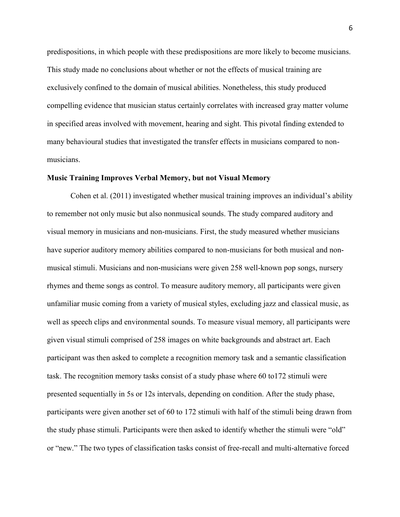predispositions, in which people with these predispositions are more likely to become musicians. This study made no conclusions about whether or not the effects of musical training are exclusively confined to the domain of musical abilities. Nonetheless, this study produced compelling evidence that musician status certainly correlates with increased gray matter volume in specified areas involved with movement, hearing and sight. This pivotal finding extended to many behavioural studies that investigated the transfer effects in musicians compared to nonmusicians.

#### **Music Training Improves Verbal Memory, but not Visual Memory**

Cohen et al. (2011) investigated whether musical training improves an individual's ability to remember not only music but also nonmusical sounds. The study compared auditory and visual memory in musicians and non-musicians. First, the study measured whether musicians have superior auditory memory abilities compared to non-musicians for both musical and nonmusical stimuli. Musicians and non-musicians were given 258 well-known pop songs, nursery rhymes and theme songs as control. To measure auditory memory, all participants were given unfamiliar music coming from a variety of musical styles, excluding jazz and classical music, as well as speech clips and environmental sounds. To measure visual memory, all participants were given visual stimuli comprised of 258 images on white backgrounds and abstract art. Each participant was then asked to complete a recognition memory task and a semantic classification task. The recognition memory tasks consist of a study phase where 60 to172 stimuli were presented sequentially in 5s or 12s intervals, depending on condition. After the study phase, participants were given another set of 60 to 172 stimuli with half of the stimuli being drawn from the study phase stimuli. Participants were then asked to identify whether the stimuli were "old" or "new." The two types of classification tasks consist of free-recall and multi-alternative forced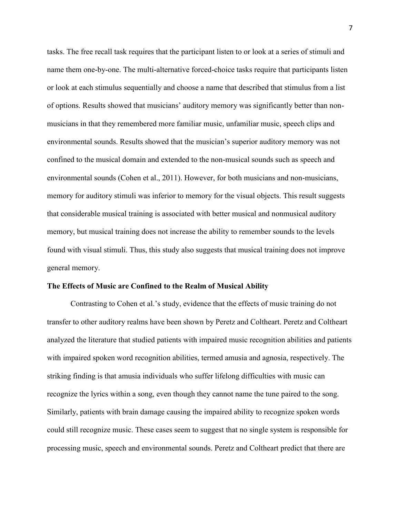tasks. The free recall task requires that the participant listen to or look at a series of stimuli and name them one-by-one. The multi-alternative forced-choice tasks require that participants listen or look at each stimulus sequentially and choose a name that described that stimulus from a list of options. Results showed that musicians' auditory memory was significantly better than nonmusicians in that they remembered more familiar music, unfamiliar music, speech clips and environmental sounds. Results showed that the musician's superior auditory memory was not confined to the musical domain and extended to the non-musical sounds such as speech and environmental sounds (Cohen et al., 2011). However, for both musicians and non-musicians, memory for auditory stimuli was inferior to memory for the visual objects. This result suggests that considerable musical training is associated with better musical and nonmusical auditory memory, but musical training does not increase the ability to remember sounds to the levels found with visual stimuli. Thus, this study also suggests that musical training does not improve general memory.

# **The Effects of Music are Confined to the Realm of Musical Ability**

Contrasting to Cohen et al.'s study, evidence that the effects of music training do not transfer to other auditory realms have been shown by Peretz and Coltheart. Peretz and Coltheart analyzed the literature that studied patients with impaired music recognition abilities and patients with impaired spoken word recognition abilities, termed amusia and agnosia, respectively. The striking finding is that amusia individuals who suffer lifelong difficulties with music can recognize the lyrics within a song, even though they cannot name the tune paired to the song. Similarly, patients with brain damage causing the impaired ability to recognize spoken words could still recognize music. These cases seem to suggest that no single system is responsible for processing music, speech and environmental sounds. Peretz and Coltheart predict that there are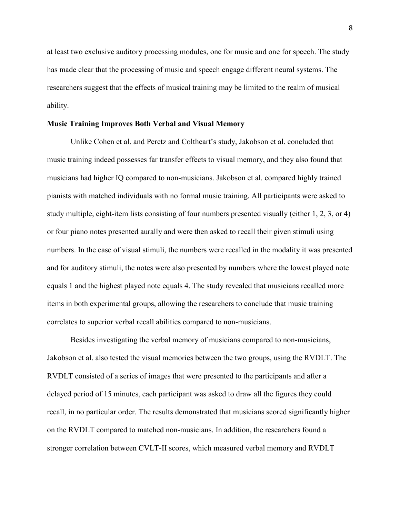at least two exclusive auditory processing modules, one for music and one for speech. The study has made clear that the processing of music and speech engage different neural systems. The researchers suggest that the effects of musical training may be limited to the realm of musical ability.

# **Music Training Improves Both Verbal and Visual Memory**

Unlike Cohen et al. and Peretz and Coltheart's study, Jakobson et al. concluded that music training indeed possesses far transfer effects to visual memory, and they also found that musicians had higher IQ compared to non-musicians. Jakobson et al. compared highly trained pianists with matched individuals with no formal music training. All participants were asked to study multiple, eight-item lists consisting of four numbers presented visually (either 1, 2, 3, or 4) or four piano notes presented aurally and were then asked to recall their given stimuli using numbers. In the case of visual stimuli, the numbers were recalled in the modality it was presented and for auditory stimuli, the notes were also presented by numbers where the lowest played note equals 1 and the highest played note equals 4. The study revealed that musicians recalled more items in both experimental groups, allowing the researchers to conclude that music training correlates to superior verbal recall abilities compared to non-musicians.

Besides investigating the verbal memory of musicians compared to non-musicians, Jakobson et al. also tested the visual memories between the two groups, using the RVDLT. The RVDLT consisted of a series of images that were presented to the participants and after a delayed period of 15 minutes, each participant was asked to draw all the figures they could recall, in no particular order. The results demonstrated that musicians scored significantly higher on the RVDLT compared to matched non-musicians. In addition, the researchers found a stronger correlation between CVLT-II scores, which measured verbal memory and RVDLT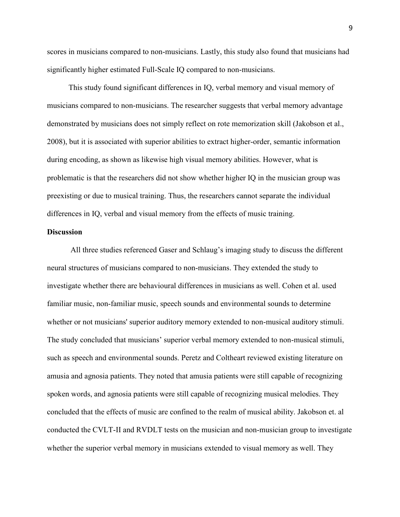scores in musicians compared to non-musicians. Lastly, this study also found that musicians had significantly higher estimated Full-Scale IQ compared to non-musicians.

This study found significant differences in IQ, verbal memory and visual memory of musicians compared to non-musicians. The researcher suggests that verbal memory advantage demonstrated by musicians does not simply reflect on rote memorization skill (Jakobson et al., 2008), but it is associated with superior abilities to extract higher-order, semantic information during encoding, as shown as likewise high visual memory abilities. However, what is problematic is that the researchers did not show whether higher IQ in the musician group was preexisting or due to musical training. Thus, the researchers cannot separate the individual differences in IQ, verbal and visual memory from the effects of music training.

#### **Discussion**

All three studies referenced Gaser and Schlaug's imaging study to discuss the different neural structures of musicians compared to non-musicians. They extended the study to investigate whether there are behavioural differences in musicians as well. Cohen et al. used familiar music, non-familiar music, speech sounds and environmental sounds to determine whether or not musicians' superior auditory memory extended to non-musical auditory stimuli. The study concluded that musicians' superior verbal memory extended to non-musical stimuli, such as speech and environmental sounds. Peretz and Coltheart reviewed existing literature on amusia and agnosia patients. They noted that amusia patients were still capable of recognizing spoken words, and agnosia patients were still capable of recognizing musical melodies. They concluded that the effects of music are confined to the realm of musical ability. Jakobson et. al conducted the CVLT-II and RVDLT tests on the musician and non-musician group to investigate whether the superior verbal memory in musicians extended to visual memory as well. They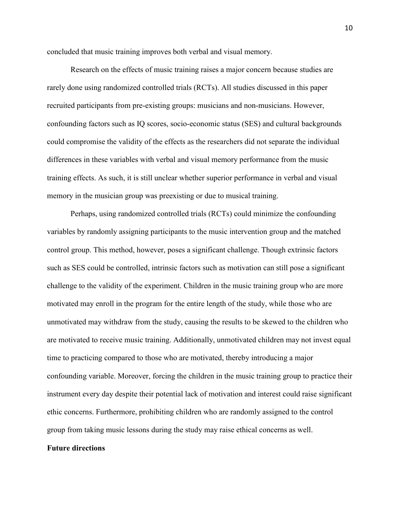concluded that music training improves both verbal and visual memory.

Research on the effects of music training raises a major concern because studies are rarely done using randomized controlled trials (RCTs). All studies discussed in this paper recruited participants from pre-existing groups: musicians and non-musicians. However, confounding factors such as IQ scores, socio-economic status (SES) and cultural backgrounds could compromise the validity of the effects as the researchers did not separate the individual differences in these variables with verbal and visual memory performance from the music training effects. As such, it is still unclear whether superior performance in verbal and visual memory in the musician group was preexisting or due to musical training.

Perhaps, using randomized controlled trials (RCTs) could minimize the confounding variables by randomly assigning participants to the music intervention group and the matched control group. This method, however, poses a significant challenge. Though extrinsic factors such as SES could be controlled, intrinsic factors such as motivation can still pose a significant challenge to the validity of the experiment. Children in the music training group who are more motivated may enroll in the program for the entire length of the study, while those who are unmotivated may withdraw from the study, causing the results to be skewed to the children who are motivated to receive music training. Additionally, unmotivated children may not invest equal time to practicing compared to those who are motivated, thereby introducing a major confounding variable. Moreover, forcing the children in the music training group to practice their instrument every day despite their potential lack of motivation and interest could raise significant ethic concerns. Furthermore, prohibiting children who are randomly assigned to the control group from taking music lessons during the study may raise ethical concerns as well.

#### **Future directions**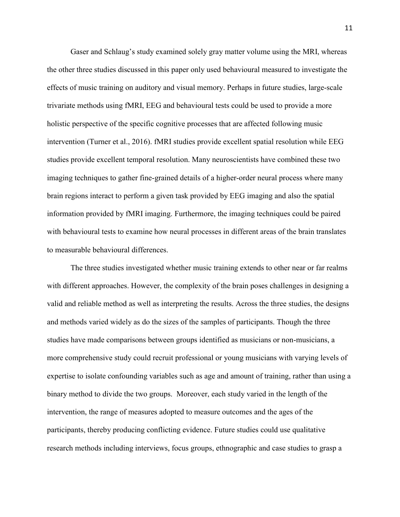Gaser and Schlaug's study examined solely gray matter volume using the MRI, whereas the other three studies discussed in this paper only used behavioural measured to investigate the effects of music training on auditory and visual memory. Perhaps in future studies, large-scale trivariate methods using fMRI, EEG and behavioural tests could be used to provide a more holistic perspective of the specific cognitive processes that are affected following music intervention (Turner et al., 2016). fMRI studies provide excellent spatial resolution while EEG studies provide excellent temporal resolution. Many neuroscientists have combined these two imaging techniques to gather fine-grained details of a higher-order neural process where many brain regions interact to perform a given task provided by EEG imaging and also the spatial information provided by fMRI imaging. Furthermore, the imaging techniques could be paired with behavioural tests to examine how neural processes in different areas of the brain translates to measurable behavioural differences.

The three studies investigated whether music training extends to other near or far realms with different approaches. However, the complexity of the brain poses challenges in designing a valid and reliable method as well as interpreting the results. Across the three studies, the designs and methods varied widely as do the sizes of the samples of participants. Though the three studies have made comparisons between groups identified as musicians or non-musicians, a more comprehensive study could recruit professional or young musicians with varying levels of expertise to isolate confounding variables such as age and amount of training, rather than using a binary method to divide the two groups. Moreover, each study varied in the length of the intervention, the range of measures adopted to measure outcomes and the ages of the participants, thereby producing conflicting evidence. Future studies could use qualitative research methods including interviews, focus groups, ethnographic and case studies to grasp a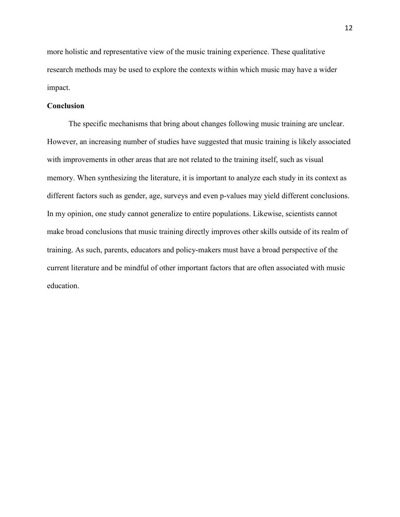more holistic and representative view of the music training experience. These qualitative research methods may be used to explore the contexts within which music may have a wider impact.

# **Conclusion**

The specific mechanisms that bring about changes following music training are unclear. However, an increasing number of studies have suggested that music training is likely associated with improvements in other areas that are not related to the training itself, such as visual memory. When synthesizing the literature, it is important to analyze each study in its context as different factors such as gender, age, surveys and even p-values may yield different conclusions. In my opinion, one study cannot generalize to entire populations. Likewise, scientists cannot make broad conclusions that music training directly improves other skills outside of its realm of training. As such, parents, educators and policy-makers must have a broad perspective of the current literature and be mindful of other important factors that are often associated with music education.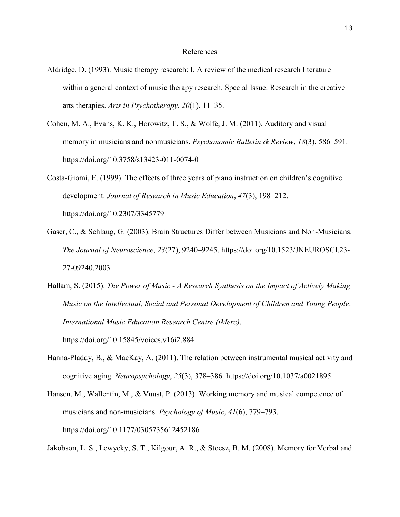#### References

- Aldridge, D. (1993). Music therapy research: I. A review of the medical research literature within a general context of music therapy research. Special Issue: Research in the creative arts therapies. *Arts in Psychotherapy*, *20*(1), 11–35.
- Cohen, M. A., Evans, K. K., Horowitz, T. S., & Wolfe, J. M. (2011). Auditory and visual memory in musicians and nonmusicians. *Psychonomic Bulletin & Review*, *18*(3), 586–591. https://doi.org/10.3758/s13423-011-0074-0
- Costa-Giomi, E. (1999). The effects of three years of piano instruction on children's cognitive development. *Journal of Research in Music Education*, *47*(3), 198–212. https://doi.org/10.2307/3345779
- Gaser, C., & Schlaug, G. (2003). Brain Structures Differ between Musicians and Non-Musicians. *The Journal of Neuroscience*, *23*(27), 9240–9245. https://doi.org/10.1523/JNEUROSCI.23- 27-09240.2003
- Hallam, S. (2015). *The Power of Music - A Research Synthesis on the Impact of Actively Making Music on the Intellectual, Social and Personal Development of Children and Young People*. *International Music Education Research Centre (iMerc)*. https://doi.org/10.15845/voices.v16i2.884
- Hanna-Pladdy, B., & MacKay, A. (2011). The relation between instrumental musical activity and cognitive aging. *Neuropsychology*, *25*(3), 378–386. https://doi.org/10.1037/a0021895
- Hansen, M., Wallentin, M., & Vuust, P. (2013). Working memory and musical competence of musicians and non-musicians. *Psychology of Music*, *41*(6), 779–793. https://doi.org/10.1177/0305735612452186

Jakobson, L. S., Lewycky, S. T., Kilgour, A. R., & Stoesz, B. M. (2008). Memory for Verbal and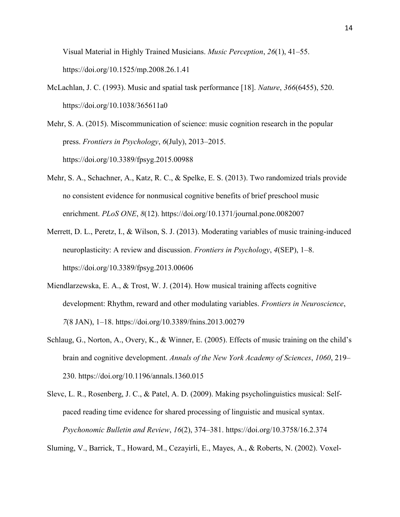Visual Material in Highly Trained Musicians. *Music Perception*, *26*(1), 41–55. https://doi.org/10.1525/mp.2008.26.1.41

- McLachlan, J. C. (1993). Music and spatial task performance [18]. *Nature*, *366*(6455), 520. https://doi.org/10.1038/365611a0
- Mehr, S. A. (2015). Miscommunication of science: music cognition research in the popular press. *Frontiers in Psychology*, *6*(July), 2013–2015. https://doi.org/10.3389/fpsyg.2015.00988
- Mehr, S. A., Schachner, A., Katz, R. C., & Spelke, E. S. (2013). Two randomized trials provide no consistent evidence for nonmusical cognitive benefits of brief preschool music enrichment. *PLoS ONE*, *8*(12). https://doi.org/10.1371/journal.pone.0082007
- Merrett, D. L., Peretz, I., & Wilson, S. J. (2013). Moderating variables of music training-induced neuroplasticity: A review and discussion. *Frontiers in Psychology*, *4*(SEP), 1–8. https://doi.org/10.3389/fpsyg.2013.00606
- Miendlarzewska, E. A., & Trost, W. J. (2014). How musical training affects cognitive development: Rhythm, reward and other modulating variables. *Frontiers in Neuroscience*, *7*(8 JAN), 1–18. https://doi.org/10.3389/fnins.2013.00279
- Schlaug, G., Norton, A., Overy, K., & Winner, E. (2005). Effects of music training on the child's brain and cognitive development. *Annals of the New York Academy of Sciences*, *1060*, 219– 230. https://doi.org/10.1196/annals.1360.015
- Slevc, L. R., Rosenberg, J. C., & Patel, A. D. (2009). Making psycholinguistics musical: Selfpaced reading time evidence for shared processing of linguistic and musical syntax. *Psychonomic Bulletin and Review*, *16*(2), 374–381. https://doi.org/10.3758/16.2.374

Sluming, V., Barrick, T., Howard, M., Cezayirli, E., Mayes, A., & Roberts, N. (2002). Voxel-